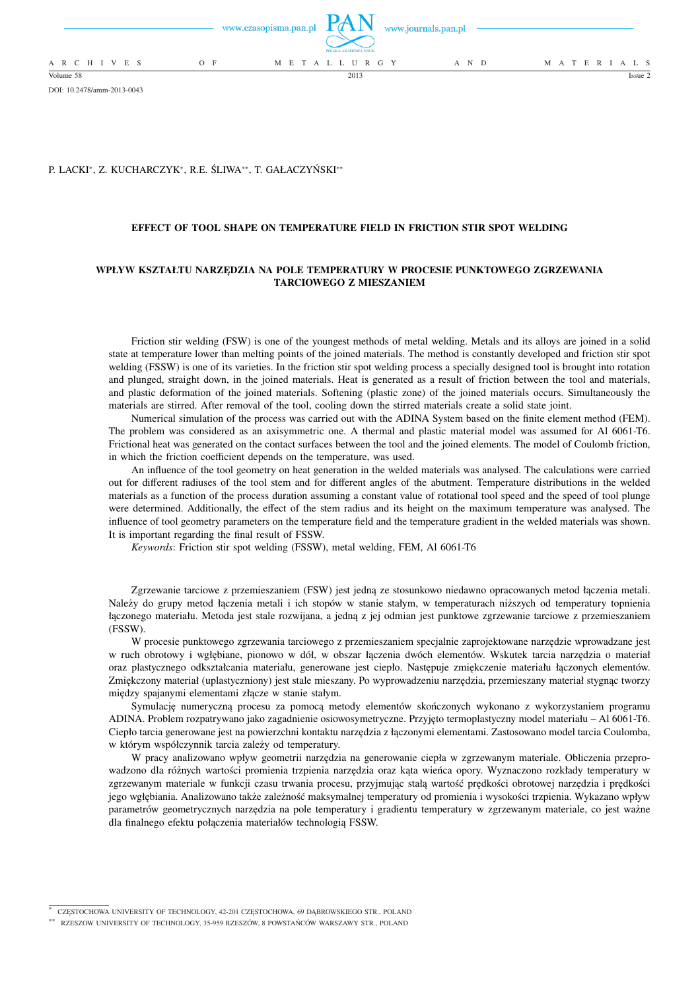|                 |       | POLSKA AKADEMIA NAUK | www.czasopisma.pan.pl $\mathbf{L}(X \mathbf{N})$ www.journals.pan.pl |                   |
|-----------------|-------|----------------------|----------------------------------------------------------------------|-------------------|
| A R C H I V E S | $O$ F | M E T A L L U R G Y  | A N D                                                                | M A T E R I A L S |
| Volume 58       |       | 2013                 |                                                                      | Issue 2           |

DOI: 10.2478/amm-2013-0043

## P. LACKI<sup>∗</sup> , Z. KUCHARCZYK<sup>∗</sup> , R.E. ŚLIWA∗∗, T. GAŁACZYŃSKI∗∗

### **EFFECT OF TOOL SHAPE ON TEMPERATURE FIELD IN FRICTION STIR SPOT WELDING**

# **WPŁYW KSZTAŁTU NARZĘDZIA NA POLE TEMPERATURY W PROCESIE PUNKTOWEGO ZGRZEWANIA TARCIOWEGO Z MIESZANIEM**

Friction stir welding (FSW) is one of the youngest methods of metal welding. Metals and its alloys are joined in a solid state at temperature lower than melting points of the joined materials. The method is constantly developed and friction stir spot welding (FSSW) is one of its varieties. In the friction stir spot welding process a specially designed tool is brought into rotation and plunged, straight down, in the joined materials. Heat is generated as a result of friction between the tool and materials, and plastic deformation of the joined materials. Softening (plastic zone) of the joined materials occurs. Simultaneously the materials are stirred. After removal of the tool, cooling down the stirred materials create a solid state joint.

Numerical simulation of the process was carried out with the ADINA System based on the finite element method (FEM). The problem was considered as an axisymmetric one. A thermal and plastic material model was assumed for Al 6061-T6. Frictional heat was generated on the contact surfaces between the tool and the joined elements. The model of Coulomb friction, in which the friction coefficient depends on the temperature, was used.

An influence of the tool geometry on heat generation in the welded materials was analysed. The calculations were carried out for different radiuses of the tool stem and for different angles of the abutment. Temperature distributions in the welded materials as a function of the process duration assuming a constant value of rotational tool speed and the speed of tool plunge were determined. Additionally, the effect of the stem radius and its height on the maximum temperature was analysed. The influence of tool geometry parameters on the temperature field and the temperature gradient in the welded materials was shown. It is important regarding the final result of FSSW.

*Keywords*: Friction stir spot welding (FSSW), metal welding, FEM, Al 6061-T6

Zgrzewanie tarciowe z przemieszaniem (FSW) jest jedną ze stosunkowo niedawno opracowanych metod łączenia metali. Należy do grupy metod łączenia metali i ich stopów w stanie stałym, w temperaturach niższych od temperatury topnienia łączonego materiału. Metoda jest stale rozwijana, a jedną z jej odmian jest punktowe zgrzewanie tarciowe z przemieszaniem (FSSW).

W procesie punktowego zgrzewania tarciowego z przemieszaniem specjalnie zaprojektowane narzędzie wprowadzane jest w ruch obrotowy i wgłębiane, pionowo w dół, w obszar łączenia dwóch elementów. Wskutek tarcia narzędzia o materiał oraz plastycznego odkształcania materiału, generowane jest ciepło. Następuje zmiękczenie materiału łączonych elementów. Zmiękczony materiał (uplastyczniony) jest stale mieszany. Po wyprowadzeniu narzędzia, przemieszany materiał stygnąc tworzy między spajanymi elementami złącze w stanie stałym.

Symulację numeryczną procesu za pomocą metody elementów skończonych wykonano z wykorzystaniem programu ADINA. Problem rozpatrywano jako zagadnienie osiowosymetryczne. Przyjęto termoplastyczny model materiału – Al 6061-T6. Ciepło tarcia generowane jest na powierzchni kontaktu narzędzia z łączonymi elementami. Zastosowano model tarcia Coulomba, w którym współczynnik tarcia zależy od temperatury.

W pracy analizowano wpływ geometrii narzędzia na generowanie ciepła w zgrzewanym materiale. Obliczenia przeprowadzono dla różnych wartości promienia trzpienia narzędzia oraz kąta wieńca opory. Wyznaczono rozkłady temperatury w zgrzewanym materiale w funkcji czasu trwania procesu, przyjmując stałą wartość prędkości obrotowej narzędzia i prędkości jego wgłębiania. Analizowano także zależność maksymalnej temperatury od promienia i wysokości trzpienia. Wykazano wpływ parametrów geometrycznych narzędzia na pole temperatury i gradientu temperatury w zgrzewanym materiale, co jest ważne dla finalnego efektu połączenia materiałów technologią FSSW.

<sup>∗</sup> CZĘSTOCHOWA UNIVERSITY OF TECHNOLOGY, 42-201 CZĘSTOCHOWA, 69 DĄBROWSKIEGO STR., POLAND

<sup>∗∗</sup> RZESZOW UNIVERSITY OF TECHNOLOGY, 35-959 RZESZÓW, 8 POWSTAŃCÓW WARSZAWY STR., POLAND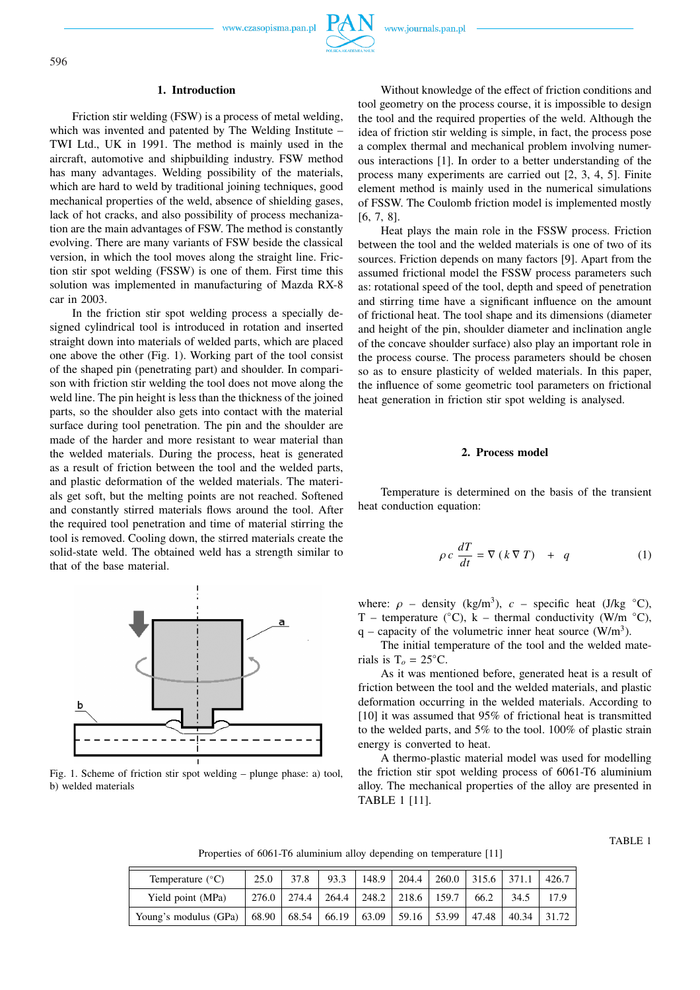www.czasopisma.pan.pl

### **1. Introduction**

Friction stir welding (FSW) is a process of metal welding, which was invented and patented by The Welding Institute – TWI Ltd., UK in 1991. The method is mainly used in the aircraft, automotive and shipbuilding industry. FSW method has many advantages. Welding possibility of the materials, which are hard to weld by traditional joining techniques, good mechanical properties of the weld, absence of shielding gases, lack of hot cracks, and also possibility of process mechanization are the main advantages of FSW. The method is constantly evolving. There are many variants of FSW beside the classical version, in which the tool moves along the straight line. Friction stir spot welding (FSSW) is one of them. First time this solution was implemented in manufacturing of Mazda RX-8 car in 2003.

In the friction stir spot welding process a specially designed cylindrical tool is introduced in rotation and inserted straight down into materials of welded parts, which are placed one above the other (Fig. 1). Working part of the tool consist of the shaped pin (penetrating part) and shoulder. In comparison with friction stir welding the tool does not move along the weld line. The pin height is less than the thickness of the joined parts, so the shoulder also gets into contact with the material surface during tool penetration. The pin and the shoulder are made of the harder and more resistant to wear material than the welded materials. During the process, heat is generated as a result of friction between the tool and the welded parts, and plastic deformation of the welded materials. The materials get soft, but the melting points are not reached. Softened and constantly stirred materials flows around the tool. After the required tool penetration and time of material stirring the tool is removed. Cooling down, the stirred materials create the solid-state weld. The obtained weld has a strength similar to that of the base material.



Fig. 1. Scheme of friction stir spot welding – plunge phase: a) tool, b) welded materials

Without knowledge of the effect of friction conditions and tool geometry on the process course, it is impossible to design the tool and the required properties of the weld. Although the idea of friction stir welding is simple, in fact, the process pose a complex thermal and mechanical problem involving numerous interactions [1]. In order to a better understanding of the process many experiments are carried out [2, 3, 4, 5]. Finite element method is mainly used in the numerical simulations of FSSW. The Coulomb friction model is implemented mostly [6, 7, 8].

Heat plays the main role in the FSSW process. Friction between the tool and the welded materials is one of two of its sources. Friction depends on many factors [9]. Apart from the assumed frictional model the FSSW process parameters such as: rotational speed of the tool, depth and speed of penetration and stirring time have a significant influence on the amount of frictional heat. The tool shape and its dimensions (diameter and height of the pin, shoulder diameter and inclination angle of the concave shoulder surface) also play an important role in the process course. The process parameters should be chosen so as to ensure plasticity of welded materials. In this paper, the influence of some geometric tool parameters on frictional heat generation in friction stir spot welding is analysed.

### **2. Process model**

Temperature is determined on the basis of the transient heat conduction equation:

$$
\rho c \frac{dT}{dt} = \nabla (k \nabla T) + q \tag{1}
$$

where:  $\rho$  – density (kg/m<sup>3</sup>),  $c$  – specific heat (J/kg  $\degree$ C), T – temperature ( $°C$ ), k – thermal conductivity (W/m  $°C$ ), q – capacity of the volumetric inner heat source  $(W/m<sup>3</sup>)$ .

The initial temperature of the tool and the welded materials is  $T<sub>o</sub> = 25$ °C.

As it was mentioned before, generated heat is a result of friction between the tool and the welded materials, and plastic deformation occurring in the welded materials. According to [10] it was assumed that 95% of frictional heat is transmitted to the welded parts, and 5% to the tool. 100% of plastic strain energy is converted to heat.

A thermo-plastic material model was used for modelling the friction stir spot welding process of 6061-T6 aluminium alloy. The mechanical properties of the alloy are presented in TABLE 1 [11].

TABLE 1

Properties of 6061-T6 aluminium alloy depending on temperature [11]

| Temperature $(^{\circ}C)$                                                     | 25.0            | 37.8 | 93.3 | 148.9 | $\mid$ 204.4 $\mid$   | 260.0   315.6   371.1 |      |        | 426.7 |
|-------------------------------------------------------------------------------|-----------------|------|------|-------|-----------------------|-----------------------|------|--------|-------|
| Yield point (MPa)                                                             | $276.0$   274.4 |      |      |       | 264.4   248.2   218.6 | 159.7                 | 66.2 | 34.5   |       |
| Young's modulus (GPa)   68.90   68.54   66.19   63.09   59.16   53.99   47.48 |                 |      |      |       |                       |                       |      | 140.34 | 31.72 |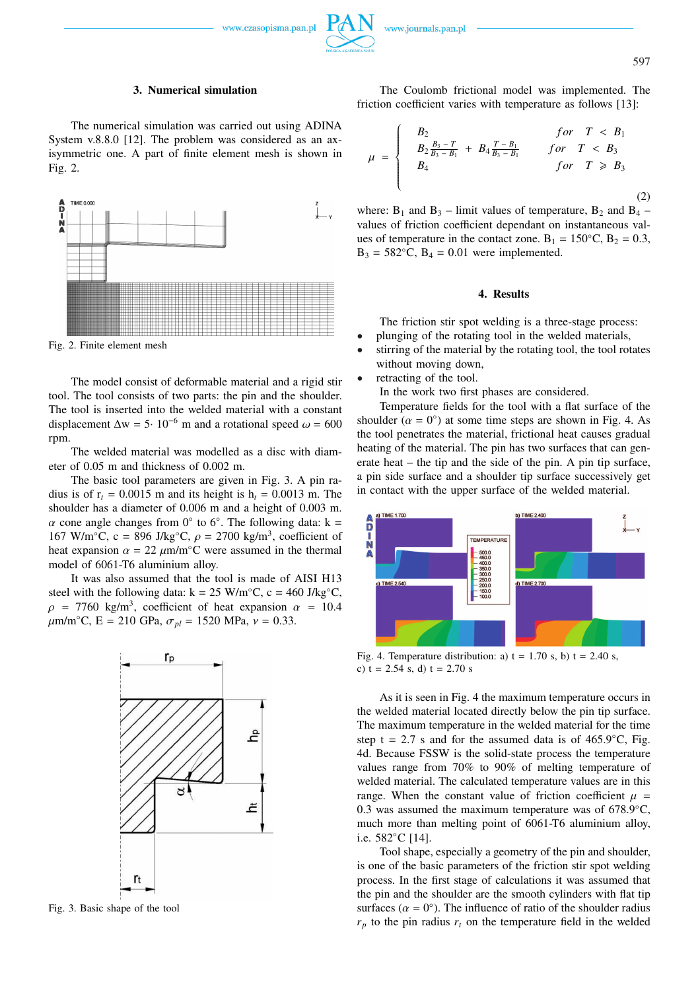www.czasopisma.pan.pl

597

## **3. Numerical simulation**

The numerical simulation was carried out using ADINA System v.8.8.0 [12]. The problem was considered as an axisymmetric one. A part of finite element mesh is shown in Fig. 2.



Fig. 2. Finite element mesh

The model consist of deformable material and a rigid stir tool. The tool consists of two parts: the pin and the shoulder. The tool is inserted into the welded material with a constant displacement  $\Delta w = 5 \cdot 10^{-6}$  m and a rotational speed  $\omega = 600$ rpm.

The welded material was modelled as a disc with diameter of 0.05 m and thickness of 0.002 m.

The basic tool parameters are given in Fig. 3. A pin radius is of  $r_t$  = 0.0015 m and its height is  $h_t$  = 0.0013 m. The shoulder has a diameter of 0.006 m and a height of 0.003 m.  $\alpha$  cone angle changes from 0° to 6°. The following data: k = 167 W/m $^{\circ}$ C, c = 896 J/kg $^{\circ}$ C,  $\rho = 2700$  kg/m<sup>3</sup>, coefficient of heat expansion  $\alpha = 22 \mu m/m°C$  were assumed in the thermal model of 6061-T6 aluminium alloy.

It was also assumed that the tool is made of AISI H13 steel with the following data: k =  $25 \text{ W/m}^{\circ}\text{C}$ , c = 460 J/kg<sup>°</sup>C,  $\rho$  = 7760 kg/m<sup>3</sup>, coefficient of heat expansion  $\alpha$  = 10.4  $\mu$ m/m<sup>°</sup>C, E = 210 GPa,  $\sigma_{pl}$  = 1520 MPa,  $\nu$  = 0.33.



Fig. 3. Basic shape of the tool

The Coulomb frictional model was implemented. The friction coefficient varies with temperature as follows [13]:

$$
\mu = \begin{cases}\nB_2 & \text{for } T < B_1 \\
B_2 \frac{B_3 - T}{B_3 - B_1} + B_4 \frac{T - B_1}{B_3 - B_1} & \text{for } T < B_3 \\
B_4 & \text{for } T \ge B_3\n\end{cases}
$$
\n(2)

where:  $B_1$  and  $B_3$  – limit values of temperature,  $B_2$  and  $B_4$  – values of friction coefficient dependant on instantaneous values of temperature in the contact zone. B<sub>1</sub> = 150<sup>°</sup>C, B<sub>2</sub> = 0.3,  $B_3 = 582$ °C,  $B_4 = 0.01$  were implemented.

# **4. Results**

The friction stir spot welding is a three-stage process:

- plunging of the rotating tool in the welded materials,
- stirring of the material by the rotating tool, the tool rotates without moving down,
- retracting of the tool.

In the work two first phases are considered.

Temperature fields for the tool with a flat surface of the shoulder  $(\alpha = 0^{\circ})$  at some time steps are shown in Fig. 4. As the tool penetrates the material, frictional heat causes gradual heating of the material. The pin has two surfaces that can generate heat – the tip and the side of the pin. A pin tip surface, a pin side surface and a shoulder tip surface successively get in contact with the upper surface of the welded material.



Fig. 4. Temperature distribution: a)  $t = 1.70$  s, b)  $t = 2.40$  s, c)  $t = 2.54$  s, d)  $t = 2.70$  s

As it is seen in Fig. 4 the maximum temperature occurs in the welded material located directly below the pin tip surface. The maximum temperature in the welded material for the time step t = 2.7 s and for the assumed data is of  $465.9°C$ , Fig. 4d. Because FSSW is the solid-state process the temperature values range from 70% to 90% of melting temperature of welded material. The calculated temperature values are in this range. When the constant value of friction coefficient  $\mu =$ 0.3 was assumed the maximum temperature was of  $678.9°C$ , much more than melting point of 6061-T6 aluminium alloy, i.e. 582◦C [14].

Tool shape, especially a geometry of the pin and shoulder, is one of the basic parameters of the friction stir spot welding process. In the first stage of calculations it was assumed that the pin and the shoulder are the smooth cylinders with flat tip surfaces  $(\alpha = 0^{\circ})$ . The influence of ratio of the shoulder radius  $r_p$  to the pin radius  $r_t$  on the temperature field in the welded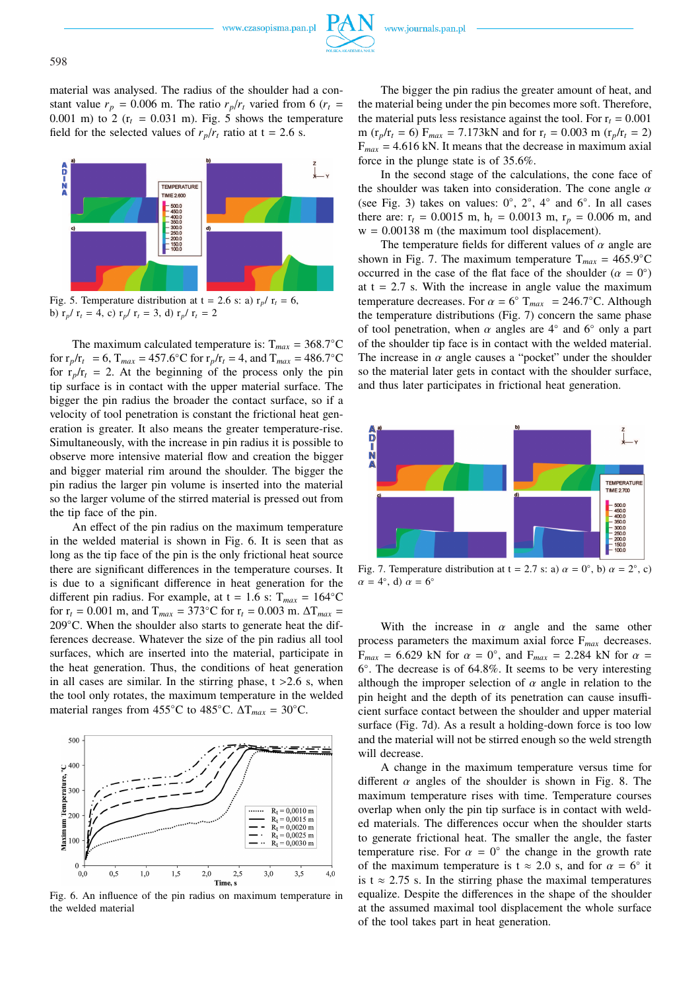material was analysed. The radius of the shoulder had a constant value  $r_p = 0.006$  m. The ratio  $r_p/r_t$  varied from 6 ( $r_t$  = 0.001 m) to 2  $(r_t = 0.031 \text{ m})$ . Fig. 5 shows the temperature field for the selected values of  $r_p/r_t$  ratio at  $t = 2.6$  s.



Fig. 5. Temperature distribution at  $t = 2.6$  s: a)  $r_p / r_t = 6$ , b)  $r_p / r_t = 4$ , c)  $r_p / r_t = 3$ , d)  $r_p / r_t = 2$ 

The maximum calculated temperature is:  $T_{max} = 368.7°C$ for  $r_p/r_t = 6$ ,  $T_{max} = 457.6 °C$  for  $r_p/r_t = 4$ , and  $T_{max} = 486.7 °C$ for  $r_p/r_t = 2$ . At the beginning of the process only the pin tip surface is in contact with the upper material surface. The bigger the pin radius the broader the contact surface, so if a velocity of tool penetration is constant the frictional heat generation is greater. It also means the greater temperature-rise. Simultaneously, with the increase in pin radius it is possible to observe more intensive material flow and creation the bigger and bigger material rim around the shoulder. The bigger the pin radius the larger pin volume is inserted into the material so the larger volume of the stirred material is pressed out from the tip face of the pin.

An effect of the pin radius on the maximum temperature in the welded material is shown in Fig. 6. It is seen that as long as the tip face of the pin is the only frictional heat source there are significant differences in the temperature courses. It is due to a significant difference in heat generation for the different pin radius. For example, at  $t = 1.6$  s:  $T_{max} = 164$ °C for  $r_t = 0.001$  m, and  $T_{max} = 373$ °C for  $r_t = 0.003$  m.  $\Delta T_{max} =$ 209◦C. When the shoulder also starts to generate heat the differences decrease. Whatever the size of the pin radius all tool surfaces, which are inserted into the material, participate in the heat generation. Thus, the conditions of heat generation in all cases are similar. In the stirring phase,  $t > 2.6$  s, when the tool only rotates, the maximum temperature in the welded material ranges from 455◦C to 485◦C. ∆T*max* = 30◦C.



Fig. 6. An influence of the pin radius on maximum temperature in the welded material

The bigger the pin radius the greater amount of heat, and the material being under the pin becomes more soft. Therefore, the material puts less resistance against the tool. For  $r_t = 0.001$ m ( $r_p/r_t = 6$ )  $F_{max} = 7.173$ kN and for  $r_t = 0.003$  m ( $r_p/r_t = 2$ )  $F_{max}$  = 4.616 kN. It means that the decrease in maximum axial force in the plunge state is of 35.6%.

In the second stage of the calculations, the cone face of the shoulder was taken into consideration. The cone angle  $\alpha$ (see Fig. 3) takes on values:  $0^\circ$ ,  $2^\circ$ ,  $4^\circ$  and  $6^\circ$ . In all cases there are:  $r_t = 0.0015$  m,  $h_t = 0.0013$  m,  $r_p = 0.006$  m, and  $w = 0.00138$  m (the maximum tool displacement).

The temperature fields for different values of  $\alpha$  angle are shown in Fig. 7. The maximum temperature  $T_{max} = 465.9 °C$ occurred in the case of the flat face of the shoulder  $(\alpha = 0^{\circ})$ at  $t = 2.7$  s. With the increase in angle value the maximum temperature decreases. For  $\alpha = 6^{\circ}$  T<sub>max</sub> = 246.7°C. Although the temperature distributions (Fig. 7) concern the same phase of tool penetration, when  $\alpha$  angles are 4<sup>°</sup> and 6<sup>°</sup> only a part of the shoulder tip face is in contact with the welded material. The increase in  $\alpha$  angle causes a "pocket" under the shoulder so the material later gets in contact with the shoulder surface, and thus later participates in frictional heat generation.



Fig. 7. Temperature distribution at  $t = 2.7$  s: a)  $\alpha = 0^{\circ}$ , b)  $\alpha = 2^{\circ}$ , c)  $\alpha = 4^{\circ}$ , d)  $\alpha = 6^{\circ}$ 

With the increase in  $\alpha$  angle and the same other process parameters the maximum axial force F*max* decreases.  $F_{max}$  = 6.629 kN for  $\alpha = 0^{\circ}$ , and  $F_{max}$  = 2.284 kN for  $\alpha$  = 6 ◦ . The decrease is of 64.8%. It seems to be very interesting although the improper selection of  $\alpha$  angle in relation to the pin height and the depth of its penetration can cause insufficient surface contact between the shoulder and upper material surface (Fig. 7d). As a result a holding-down force is too low and the material will not be stirred enough so the weld strength will decrease.

A change in the maximum temperature versus time for different  $\alpha$  angles of the shoulder is shown in Fig. 8. The maximum temperature rises with time. Temperature courses overlap when only the pin tip surface is in contact with welded materials. The differences occur when the shoulder starts to generate frictional heat. The smaller the angle, the faster temperature rise. For  $\alpha = 0^{\circ}$  the change in the growth rate of the maximum temperature is  $t \approx 2.0$  s, and for  $\alpha = 6^{\circ}$  it is t  $\approx$  2.75 s. In the stirring phase the maximal temperatures equalize. Despite the differences in the shape of the shoulder at the assumed maximal tool displacement the whole surface of the tool takes part in heat generation.